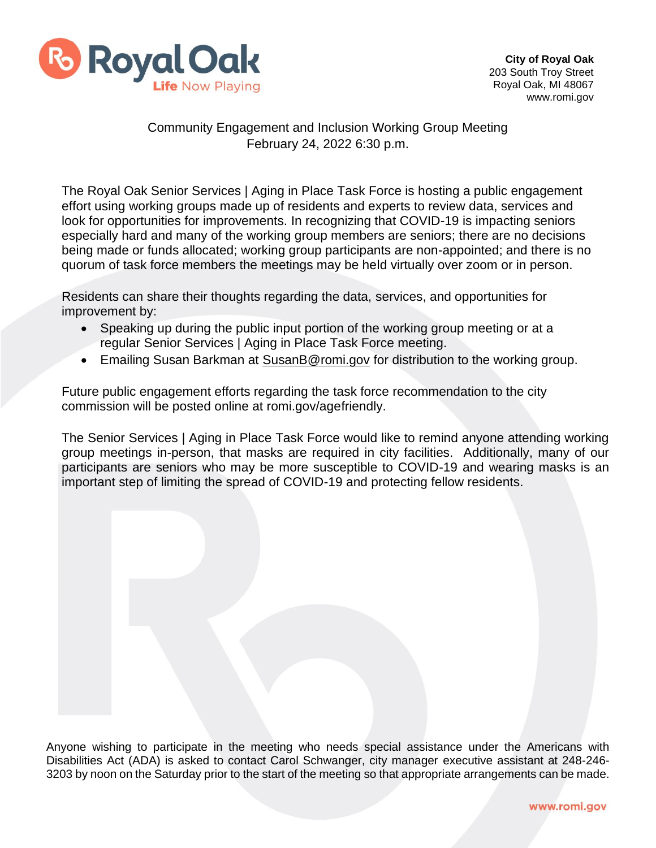

## Community Engagement and Inclusion Working Group Meeting February 24, 2022 6:30 p.m.

The Royal Oak Senior Services | Aging in Place Task Force is hosting a public engagement effort using working groups made up of residents and experts to review data, services and look for opportunities for improvements. In recognizing that COVID-19 is impacting seniors especially hard and many of the working group members are seniors; there are no decisions being made or funds allocated; working group participants are non-appointed; and there is no quorum of task force members the meetings may be held virtually over zoom or in person.

Residents can share their thoughts regarding the data, services, and opportunities for improvement by:

- Speaking up during the public input portion of the working group meeting or at a regular Senior Services | Aging in Place Task Force meeting.
- Emailing Susan Barkman at [SusanB@romi.gov](mailto:SusanB@romi.gov) for distribution to the working group.

Future public engagement efforts regarding the task force recommendation to the city commission will be posted online at romi.gov/agefriendly.

The Senior Services | Aging in Place Task Force would like to remind anyone attending working group meetings in-person, that masks are required in city facilities. Additionally, many of our participants are seniors who may be more susceptible to COVID-19 and wearing masks is an important step of limiting the spread of COVID-19 and protecting fellow residents.

Anyone wishing to participate in the meeting who needs special assistance under the Americans with Disabilities Act (ADA) is asked to contact Carol Schwanger, city manager executive assistant at 248-246- 3203 by noon on the Saturday prior to the start of the meeting so that appropriate arrangements can be made.